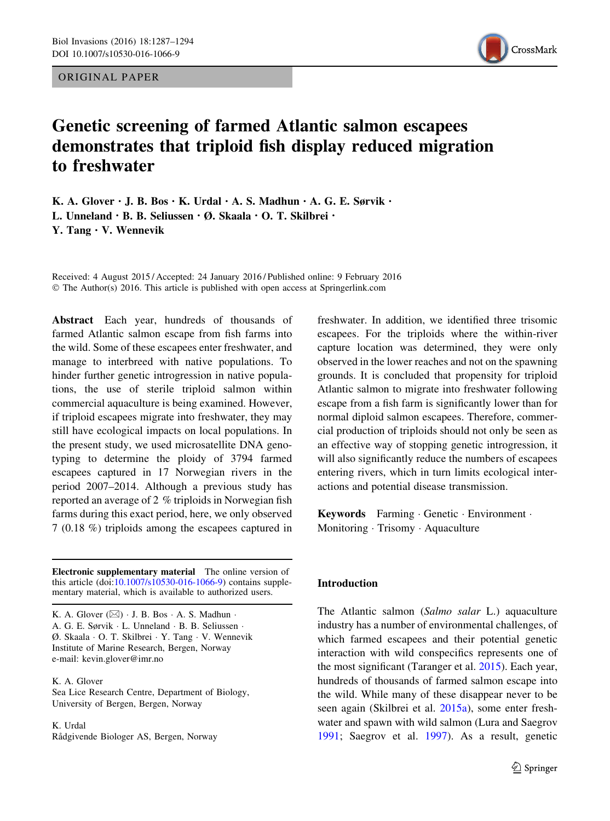ORIGINAL PAPER



# Genetic screening of farmed Atlantic salmon escapees demonstrates that triploid fish display reduced migration to freshwater

K. A. Glover  $\cdot$  J. B. Bos  $\cdot$  K. Urdal  $\cdot$  A. S. Madhun  $\cdot$  A. G. E. Sørvik  $\cdot$ L. Unneland · B. B. Seliussen · Ø. Skaala · O. T. Skilbrei · Y. Tang  $\cdot$  V. Wennevik

Received: 4 August 2015 / Accepted: 24 January 2016 / Published online: 9 February 2016 © The Author(s) 2016. This article is published with open access at Springerlink.com

Abstract Each year, hundreds of thousands of farmed Atlantic salmon escape from fish farms into the wild. Some of these escapees enter freshwater, and manage to interbreed with native populations. To hinder further genetic introgression in native populations, the use of sterile triploid salmon within commercial aquaculture is being examined. However, if triploid escapees migrate into freshwater, they may still have ecological impacts on local populations. In the present study, we used microsatellite DNA genotyping to determine the ploidy of 3794 farmed escapees captured in 17 Norwegian rivers in the period 2007–2014. Although a previous study has reported an average of 2 % triploids in Norwegian fish farms during this exact period, here, we only observed 7 (0.18 %) triploids among the escapees captured in

Electronic supplementary material The online version of this article (doi[:10.1007/s10530-016-1066-9\)](http://dx.doi.org/10.1007/s10530-016-1066-9) contains supplementary material, which is available to authorized users.

K. A. Glover  $(\boxtimes) \cdot$  J. B. Bos  $\cdot$  A. S. Madhun  $\cdot$ A. G. E. Sørvik - L. Unneland - B. B. Seliussen - Ø. Skaala - O. T. Skilbrei - Y. Tang - V. Wennevik Institute of Marine Research, Bergen, Norway e-mail: kevin.glover@imr.no

K. A. Glover

Sea Lice Research Centre, Department of Biology, University of Bergen, Bergen, Norway

K. Urdal Rådgivende Biologer AS, Bergen, Norway freshwater. In addition, we identified three trisomic escapees. For the triploids where the within-river capture location was determined, they were only observed in the lower reaches and not on the spawning grounds. It is concluded that propensity for triploid Atlantic salmon to migrate into freshwater following escape from a fish farm is significantly lower than for normal diploid salmon escapees. Therefore, commercial production of triploids should not only be seen as an effective way of stopping genetic introgression, it will also significantly reduce the numbers of escapees entering rivers, which in turn limits ecological interactions and potential disease transmission.

Keywords Farming - Genetic - Environment - Monitoring · Trisomy · Aquaculture

## Introduction

The Atlantic salmon (Salmo salar L.) aquaculture industry has a number of environmental challenges, of which farmed escapees and their potential genetic interaction with wild conspecifics represents one of the most significant (Taranger et al. [2015\)](#page-7-0). Each year, hundreds of thousands of farmed salmon escape into the wild. While many of these disappear never to be seen again (Skilbrei et al. [2015a](#page-7-0)), some enter freshwater and spawn with wild salmon (Lura and Saegrov [1991;](#page-6-0) Saegrov et al. [1997](#page-7-0)). As a result, genetic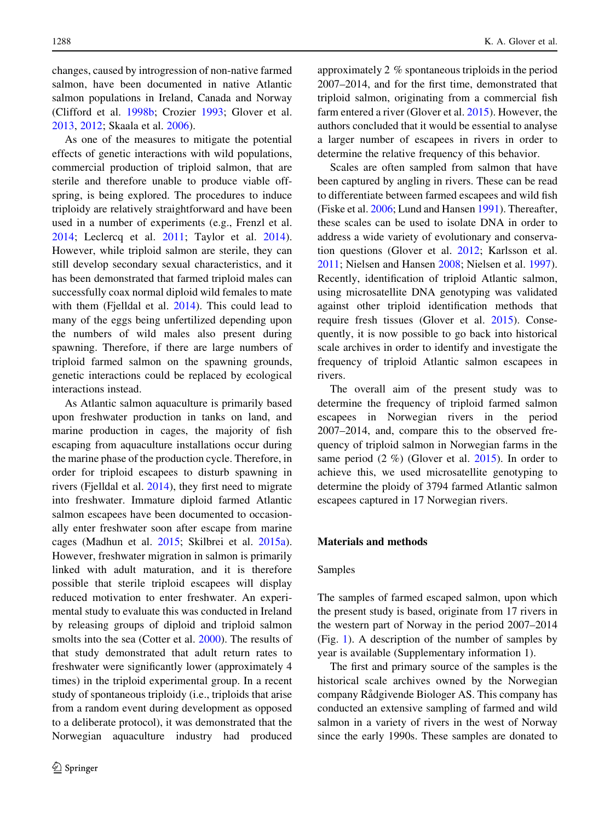changes, caused by introgression of non-native farmed salmon, have been documented in native Atlantic salmon populations in Ireland, Canada and Norway (Clifford et al. [1998b](#page-6-0); Crozier [1993;](#page-6-0) Glover et al. [2013,](#page-6-0) [2012](#page-6-0); Skaala et al. [2006\)](#page-7-0).

As one of the measures to mitigate the potential effects of genetic interactions with wild populations, commercial production of triploid salmon, that are sterile and therefore unable to produce viable offspring, is being explored. The procedures to induce triploidy are relatively straightforward and have been used in a number of experiments (e.g., Frenzl et al. [2014;](#page-6-0) Leclercq et al. [2011;](#page-6-0) Taylor et al. [2014](#page-7-0)). However, while triploid salmon are sterile, they can still develop secondary sexual characteristics, and it has been demonstrated that farmed triploid males can successfully coax normal diploid wild females to mate with them (Fjelldal et al. [2014\)](#page-6-0). This could lead to many of the eggs being unfertilized depending upon the numbers of wild males also present during spawning. Therefore, if there are large numbers of triploid farmed salmon on the spawning grounds, genetic interactions could be replaced by ecological interactions instead.

As Atlantic salmon aquaculture is primarily based upon freshwater production in tanks on land, and marine production in cages, the majority of fish escaping from aquaculture installations occur during the marine phase of the production cycle. Therefore, in order for triploid escapees to disturb spawning in rivers (Fjelldal et al. [2014\)](#page-6-0), they first need to migrate into freshwater. Immature diploid farmed Atlantic salmon escapees have been documented to occasionally enter freshwater soon after escape from marine cages (Madhun et al. [2015;](#page-6-0) Skilbrei et al. [2015a](#page-7-0)). However, freshwater migration in salmon is primarily linked with adult maturation, and it is therefore possible that sterile triploid escapees will display reduced motivation to enter freshwater. An experimental study to evaluate this was conducted in Ireland by releasing groups of diploid and triploid salmon smolts into the sea (Cotter et al. [2000](#page-6-0)). The results of that study demonstrated that adult return rates to freshwater were significantly lower (approximately 4 times) in the triploid experimental group. In a recent study of spontaneous triploidy (i.e., triploids that arise from a random event during development as opposed to a deliberate protocol), it was demonstrated that the Norwegian aquaculture industry had produced approximately 2 % spontaneous triploids in the period 2007–2014, and for the first time, demonstrated that triploid salmon, originating from a commercial fish farm entered a river (Glover et al. [2015](#page-6-0)). However, the authors concluded that it would be essential to analyse a larger number of escapees in rivers in order to determine the relative frequency of this behavior.

Scales are often sampled from salmon that have been captured by angling in rivers. These can be read to differentiate between farmed escapees and wild fish (Fiske et al. [2006;](#page-6-0) Lund and Hansen [1991](#page-6-0)). Thereafter, these scales can be used to isolate DNA in order to address a wide variety of evolutionary and conservation questions (Glover et al. [2012](#page-6-0); Karlsson et al. [2011;](#page-6-0) Nielsen and Hansen [2008](#page-7-0); Nielsen et al. [1997](#page-7-0)). Recently, identification of triploid Atlantic salmon, using microsatellite DNA genotyping was validated against other triploid identification methods that require fresh tissues (Glover et al. [2015\)](#page-6-0). Consequently, it is now possible to go back into historical scale archives in order to identify and investigate the frequency of triploid Atlantic salmon escapees in rivers.

The overall aim of the present study was to determine the frequency of triploid farmed salmon escapees in Norwegian rivers in the period 2007–2014, and, compare this to the observed frequency of triploid salmon in Norwegian farms in the same period  $(2 \%)$  (Glover et al.  $2015$ ). In order to achieve this, we used microsatellite genotyping to determine the ploidy of 3794 farmed Atlantic salmon escapees captured in 17 Norwegian rivers.

#### Materials and methods

#### Samples

The samples of farmed escaped salmon, upon which the present study is based, originate from 17 rivers in the western part of Norway in the period 2007–2014 (Fig. [1](#page-2-0)). A description of the number of samples by year is available (Supplementary information 1).

The first and primary source of the samples is the historical scale archives owned by the Norwegian company Rådgivende Biologer AS. This company has conducted an extensive sampling of farmed and wild salmon in a variety of rivers in the west of Norway since the early 1990s. These samples are donated to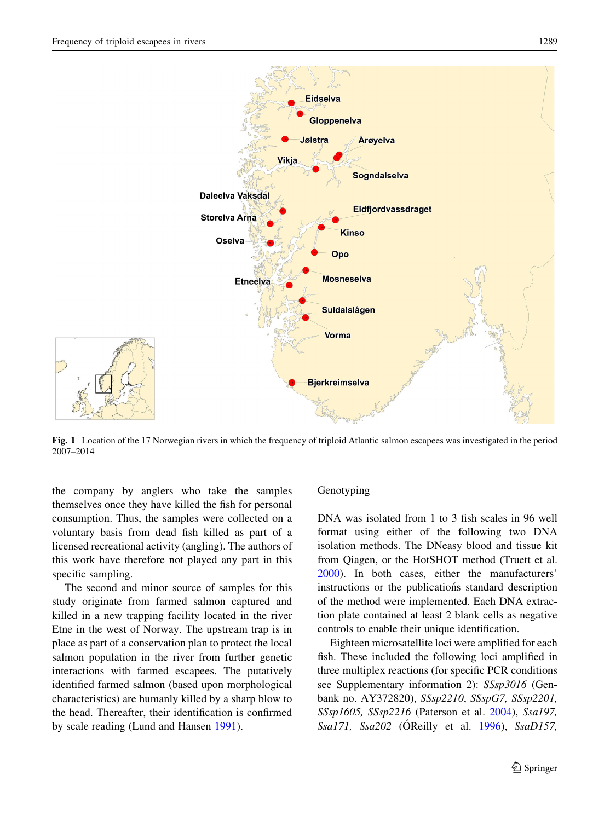<span id="page-2-0"></span>

Fig. 1 Location of the 17 Norwegian rivers in which the frequency of triploid Atlantic salmon escapees was investigated in the period 2007–2014

the company by anglers who take the samples themselves once they have killed the fish for personal consumption. Thus, the samples were collected on a voluntary basis from dead fish killed as part of a licensed recreational activity (angling). The authors of this work have therefore not played any part in this specific sampling.

The second and minor source of samples for this study originate from farmed salmon captured and killed in a new trapping facility located in the river Etne in the west of Norway. The upstream trap is in place as part of a conservation plan to protect the local salmon population in the river from further genetic interactions with farmed escapees. The putatively identified farmed salmon (based upon morphological characteristics) are humanly killed by a sharp blow to the head. Thereafter, their identification is confirmed by scale reading (Lund and Hansen [1991](#page-6-0)).

#### Genotyping

DNA was isolated from 1 to 3 fish scales in 96 well format using either of the following two DNA isolation methods. The DNeasy blood and tissue kit from Qiagen, or the HotSHOT method (Truett et al. [2000\)](#page-7-0). In both cases, either the manufacturers' instructions or the publications standard description of the method were implemented. Each DNA extraction plate contained at least 2 blank cells as negative controls to enable their unique identification.

Eighteen microsatellite loci were amplified for each fish. These included the following loci amplified in three multiplex reactions (for specific PCR conditions see Supplementary information 2): SSsp3016 (Genbank no. AY372820), SSsp2210, SSspG7, SSsp2201, SSsp1605, SSsp2216 (Paterson et al. [2004](#page-7-0)), Ssa197, Ssa171, Ssa202 (ÓReilly et al. [1996\)](#page-7-0), SsaD157,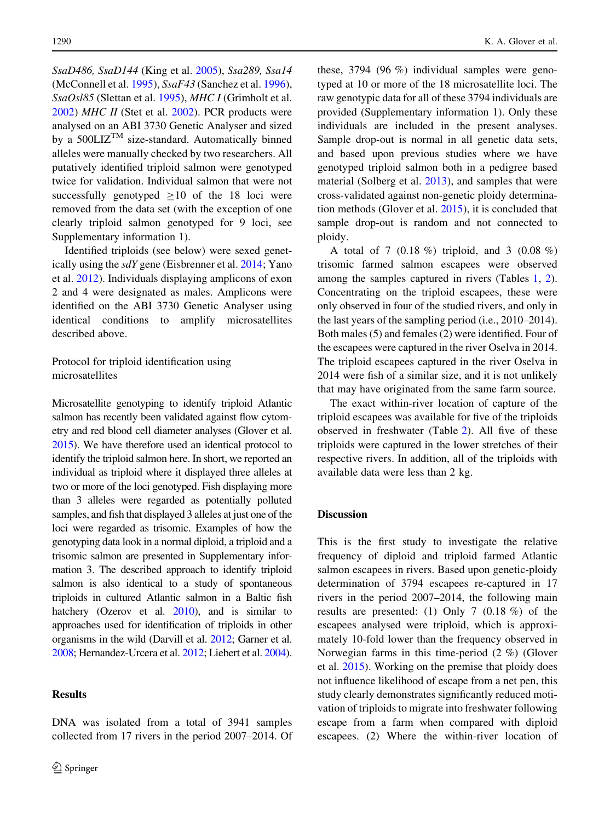SsaD486, SsaD144 (King et al. [2005\)](#page-6-0), Ssa289, Ssa14 (McConnell et al. [1995\)](#page-6-0), SsaF43 (Sanchez et al. [1996](#page-7-0)), SsaOsl85 (Slettan et al. [1995](#page-7-0)), MHC I (Grimholt et al. [2002\)](#page-6-0) MHC II (Stet et al. [2002](#page-7-0)). PCR products were analysed on an ABI 3730 Genetic Analyser and sized by a  $500LIZ^{TM}$  size-standard. Automatically binned alleles were manually checked by two researchers. All putatively identified triploid salmon were genotyped twice for validation. Individual salmon that were not successfully genotyped  $\geq 10$  of the 18 loci were removed from the data set (with the exception of one clearly triploid salmon genotyped for 9 loci, see Supplementary information 1).

Identified triploids (see below) were sexed genetically using the sdY gene (Eisbrenner et al. [2014;](#page-6-0) Yano et al. [2012\)](#page-7-0). Individuals displaying amplicons of exon 2 and 4 were designated as males. Amplicons were identified on the ABI 3730 Genetic Analyser using identical conditions to amplify microsatellites described above.

# Protocol for triploid identification using microsatellites

Microsatellite genotyping to identify triploid Atlantic salmon has recently been validated against flow cytometry and red blood cell diameter analyses (Glover et al. [2015\)](#page-6-0). We have therefore used an identical protocol to identify the triploid salmon here. In short, we reported an individual as triploid where it displayed three alleles at two or more of the loci genotyped. Fish displaying more than 3 alleles were regarded as potentially polluted samples, and fish that displayed 3 alleles at just one of the loci were regarded as trisomic. Examples of how the genotyping data look in a normal diploid, a triploid and a trisomic salmon are presented in Supplementary information 3. The described approach to identify triploid salmon is also identical to a study of spontaneous triploids in cultured Atlantic salmon in a Baltic fish hatchery (Ozerov et al. [2010](#page-7-0)), and is similar to approaches used for identification of triploids in other organisms in the wild (Darvill et al. [2012;](#page-6-0) Garner et al. [2008;](#page-6-0) Hernandez-Urcera et al. [2012;](#page-6-0) Liebert et al. [2004\)](#page-6-0).

DNA was isolated from a total of 3941 samples collected from 17 rivers in the period 2007–2014. Of

#### Results

these, 3794 (96 %) individual samples were genotyped at 10 or more of the 18 microsatellite loci. The raw genotypic data for all of these 3794 individuals are provided (Supplementary information 1). Only these individuals are included in the present analyses. Sample drop-out is normal in all genetic data sets, and based upon previous studies where we have genotyped triploid salmon both in a pedigree based material (Solberg et al. [2013](#page-7-0)), and samples that were cross-validated against non-genetic ploidy determination methods (Glover et al. [2015\)](#page-6-0), it is concluded that sample drop-out is random and not connected to ploidy.

A total of 7 (0.18 %) triploid, and 3 (0.08 %) trisomic farmed salmon escapees were observed among the samples captured in rivers (Tables [1](#page-4-0), [2](#page-4-0)). Concentrating on the triploid escapees, these were only observed in four of the studied rivers, and only in the last years of the sampling period (i.e., 2010–2014). Both males (5) and females (2) were identified. Four of the escapees were captured in the river Oselva in 2014. The triploid escapees captured in the river Oselva in 2014 were fish of a similar size, and it is not unlikely that may have originated from the same farm source.

The exact within-river location of capture of the triploid escapees was available for five of the triploids observed in freshwater (Table [2](#page-4-0)). All five of these triploids were captured in the lower stretches of their respective rivers. In addition, all of the triploids with available data were less than 2 kg.

## **Discussion**

This is the first study to investigate the relative frequency of diploid and triploid farmed Atlantic salmon escapees in rivers. Based upon genetic-ploidy determination of 3794 escapees re-captured in 17 rivers in the period 2007–2014, the following main results are presented: (1) Only 7 (0.18 %) of the escapees analysed were triploid, which is approximately 10-fold lower than the frequency observed in Norwegian farms in this time-period (2 %) (Glover et al. [2015](#page-6-0)). Working on the premise that ploidy does not influence likelihood of escape from a net pen, this study clearly demonstrates significantly reduced motivation of triploids to migrate into freshwater following escape from a farm when compared with diploid escapees. (2) Where the within-river location of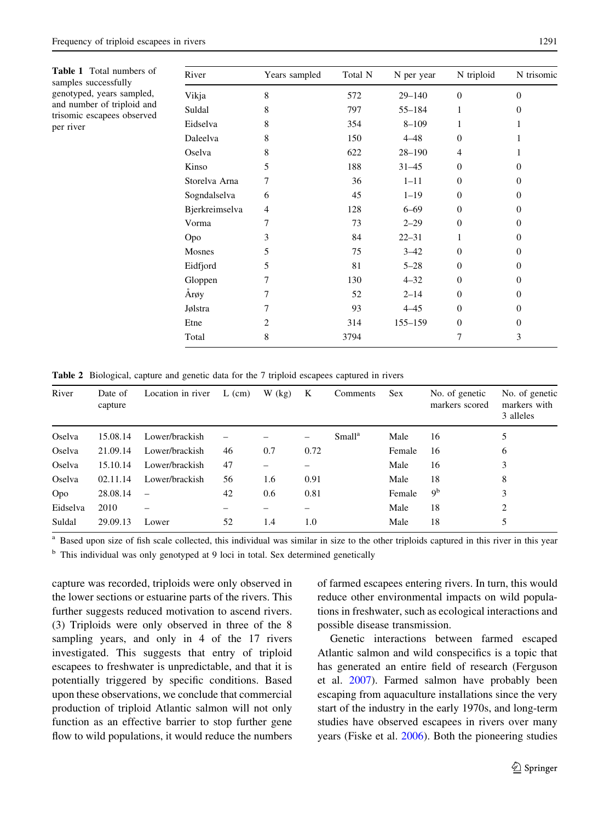<span id="page-4-0"></span>Table 1 Total numbers of samples successfully genotyped, years sampled, and number of triploid and trisomic escapees observed per river

| River          | Years sampled | Total N | N per year | N triploid | N trisomic   |
|----------------|---------------|---------|------------|------------|--------------|
| Vikja          | 8             | 572     | $29 - 140$ | $\Omega$   | $\mathbf{0}$ |
| Suldal         | 8             | 797     | 55-184     | 1          | $\Omega$     |
| Eidselva       | 8             | 354     | $8 - 109$  | 1          | 1            |
| Daleelva       | 8             | 150     | $4 - 48$   | $\Omega$   | 1            |
| Oselva         | 8             | 622     | $28 - 190$ | 4          | 1            |
| Kinso          | 5             | 188     | $31 - 45$  | $\Omega$   | $\Omega$     |
| Storelva Arna  | 7             | 36      | $1 - 11$   | $\Omega$   | $\Omega$     |
| Sogndalselva   | 6             | 45      | $1 - 19$   | $\Omega$   | $\Omega$     |
| Bjerkreimselva | 4             | 128     | $6 - 69$   | $\Omega$   | $\Omega$     |
| Vorma          | 7             | 73      | $2 - 29$   | $\Omega$   | $\theta$     |
| Opo            | 3             | 84      | $22 - 31$  | 1          | $\Omega$     |
| Mosnes         | 5             | 75      | $3 - 42$   | $\Omega$   | $\Omega$     |
| Eidfjord       | 5             | 81      | $5 - 28$   | $\Omega$   | $\Omega$     |
| Gloppen        | 7             | 130     | $4 - 32$   | $\Omega$   | $\Omega$     |
| Arøy           | 7             | 52      | $2 - 14$   | $\Omega$   | $\Omega$     |
| Jølstra        | 7             | 93      | $4 - 45$   | $\Omega$   | $\Omega$     |
| Etne           | 2             | 314     | 155-159    | $\Omega$   | $\Omega$     |
| Total          | 8             | 3794    |            | 7          | 3            |

Table 2 Biological, capture and genetic data for the 7 triploid escapees captured in rivers

| River    | Date of<br>capture | Location in river        | $L$ (cm) | $W$ (kg) | K    | Comments           | <b>Sex</b> | No. of genetic<br>markers scored | No. of genetic<br>markers with<br>3 alleles |
|----------|--------------------|--------------------------|----------|----------|------|--------------------|------------|----------------------------------|---------------------------------------------|
| Oselva   | 15.08.14           | Lower/brackish           |          |          | -    | Small <sup>a</sup> | Male       | 16                               | 5                                           |
| Oselva   | 21.09.14           | Lower/brackish           | 46       | 0.7      | 0.72 |                    | Female     | 16                               | 6                                           |
| Oselva   | 15.10.14           | Lower/brackish           | 47       |          |      |                    | Male       | 16                               | 3                                           |
| Oselva   | 02.11.14           | Lower/brackish           | 56       | 1.6      | 0.91 |                    | Male       | 18                               | 8                                           |
| Opo      | 28.08.14           | $\overline{\phantom{m}}$ | 42       | 0.6      | 0.81 |                    | Female     | 9 <sup>b</sup>                   | 3                                           |
| Eidselva | 2010               |                          |          |          |      |                    | Male       | 18                               | 2                                           |
| Suldal   | 29.09.13           | Lower                    | 52       | 1.4      | 1.0  |                    | Male       | 18                               |                                             |

Based upon size of fish scale collected, this individual was similar in size to the other triploids captured in this river in this year <sup>b</sup> This individual was only genotyped at 9 loci in total. Sex determined genetically

capture was recorded, triploids were only observed in the lower sections or estuarine parts of the rivers. This further suggests reduced motivation to ascend rivers. (3) Triploids were only observed in three of the 8 sampling years, and only in 4 of the 17 rivers investigated. This suggests that entry of triploid escapees to freshwater is unpredictable, and that it is potentially triggered by specific conditions. Based upon these observations, we conclude that commercial production of triploid Atlantic salmon will not only function as an effective barrier to stop further gene flow to wild populations, it would reduce the numbers of farmed escapees entering rivers. In turn, this would reduce other environmental impacts on wild populations in freshwater, such as ecological interactions and possible disease transmission.

Genetic interactions between farmed escaped Atlantic salmon and wild conspecifics is a topic that has generated an entire field of research (Ferguson et al. [2007](#page-6-0)). Farmed salmon have probably been escaping from aquaculture installations since the very start of the industry in the early 1970s, and long-term studies have observed escapees in rivers over many years (Fiske et al. [2006](#page-6-0)). Both the pioneering studies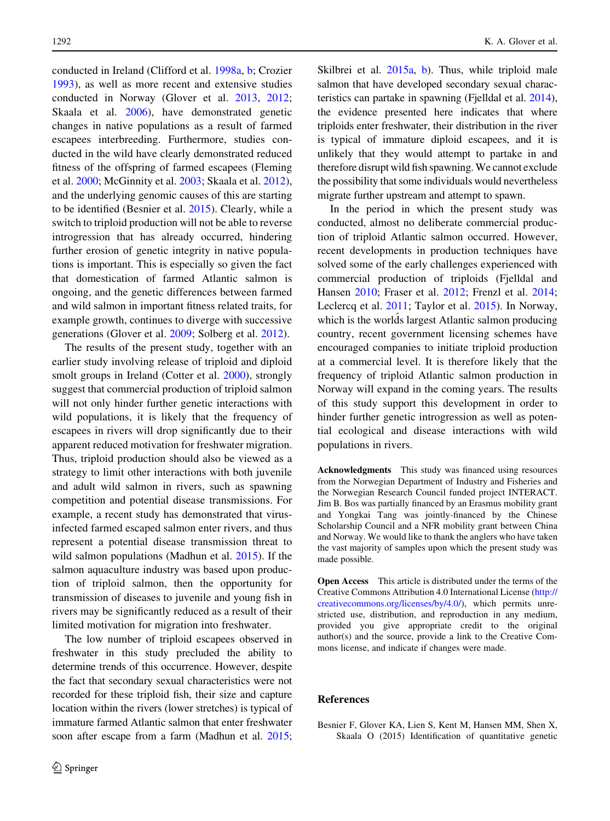conducted in Ireland (Clifford et al. [1998a,](#page-6-0) [b;](#page-6-0) Crozier [1993\)](#page-6-0), as well as more recent and extensive studies conducted in Norway (Glover et al. [2013](#page-6-0), [2012](#page-6-0); Skaala et al. [2006](#page-7-0)), have demonstrated genetic changes in native populations as a result of farmed escapees interbreeding. Furthermore, studies conducted in the wild have clearly demonstrated reduced fitness of the offspring of farmed escapees (Fleming et al. [2000](#page-6-0); McGinnity et al. [2003;](#page-7-0) Skaala et al. [2012](#page-7-0)), and the underlying genomic causes of this are starting to be identified (Besnier et al. 2015). Clearly, while a switch to triploid production will not be able to reverse introgression that has already occurred, hindering further erosion of genetic integrity in native populations is important. This is especially so given the fact that domestication of farmed Atlantic salmon is ongoing, and the genetic differences between farmed and wild salmon in important fitness related traits, for example growth, continues to diverge with successive generations (Glover et al. [2009](#page-6-0); Solberg et al. [2012](#page-7-0)).

The results of the present study, together with an earlier study involving release of triploid and diploid smolt groups in Ireland (Cotter et al. [2000](#page-6-0)), strongly suggest that commercial production of triploid salmon will not only hinder further genetic interactions with wild populations, it is likely that the frequency of escapees in rivers will drop significantly due to their apparent reduced motivation for freshwater migration. Thus, triploid production should also be viewed as a strategy to limit other interactions with both juvenile and adult wild salmon in rivers, such as spawning competition and potential disease transmissions. For example, a recent study has demonstrated that virusinfected farmed escaped salmon enter rivers, and thus represent a potential disease transmission threat to wild salmon populations (Madhun et al. [2015\)](#page-6-0). If the salmon aquaculture industry was based upon production of triploid salmon, then the opportunity for transmission of diseases to juvenile and young fish in rivers may be significantly reduced as a result of their limited motivation for migration into freshwater.

The low number of triploid escapees observed in freshwater in this study precluded the ability to determine trends of this occurrence. However, despite the fact that secondary sexual characteristics were not recorded for these triploid fish, their size and capture location within the rivers (lower stretches) is typical of immature farmed Atlantic salmon that enter freshwater soon after escape from a farm (Madhun et al. [2015](#page-6-0);

Skilbrei et al. [2015a](#page-7-0), [b](#page-7-0)). Thus, while triploid male salmon that have developed secondary sexual characteristics can partake in spawning (Fjelldal et al. [2014\)](#page-6-0), the evidence presented here indicates that where triploids enter freshwater, their distribution in the river is typical of immature diploid escapees, and it is unlikely that they would attempt to partake in and therefore disrupt wild fish spawning.We cannot exclude the possibility that some individuals would nevertheless migrate further upstream and attempt to spawn.

In the period in which the present study was conducted, almost no deliberate commercial production of triploid Atlantic salmon occurred. However, recent developments in production techniques have solved some of the early challenges experienced with commercial production of triploids (Fjelldal and Hansen [2010](#page-6-0); Fraser et al. [2012;](#page-6-0) Frenzl et al. [2014](#page-6-0); Leclercq et al. [2011](#page-6-0); Taylor et al. [2015](#page-7-0)). In Norway, which is the worlds largest Atlantic salmon producing country, recent government licensing schemes have encouraged companies to initiate triploid production at a commercial level. It is therefore likely that the frequency of triploid Atlantic salmon production in Norway will expand in the coming years. The results of this study support this development in order to hinder further genetic introgression as well as potential ecological and disease interactions with wild populations in rivers.

Acknowledgments This study was financed using resources from the Norwegian Department of Industry and Fisheries and the Norwegian Research Council funded project INTERACT. Jim B. Bos was partially financed by an Erasmus mobility grant and Yongkai Tang was jointly-financed by the Chinese Scholarship Council and a NFR mobility grant between China and Norway. We would like to thank the anglers who have taken the vast majority of samples upon which the present study was made possible.

Open Access This article is distributed under the terms of the Creative Commons Attribution 4.0 International License ([http://](http://creativecommons.org/licenses/by/4.0/) [creativecommons.org/licenses/by/4.0/\)](http://creativecommons.org/licenses/by/4.0/), which permits unrestricted use, distribution, and reproduction in any medium, provided you give appropriate credit to the original author(s) and the source, provide a link to the Creative Commons license, and indicate if changes were made.

#### References

Besnier F, Glover KA, Lien S, Kent M, Hansen MM, Shen X, Skaala O (2015) Identification of quantitative genetic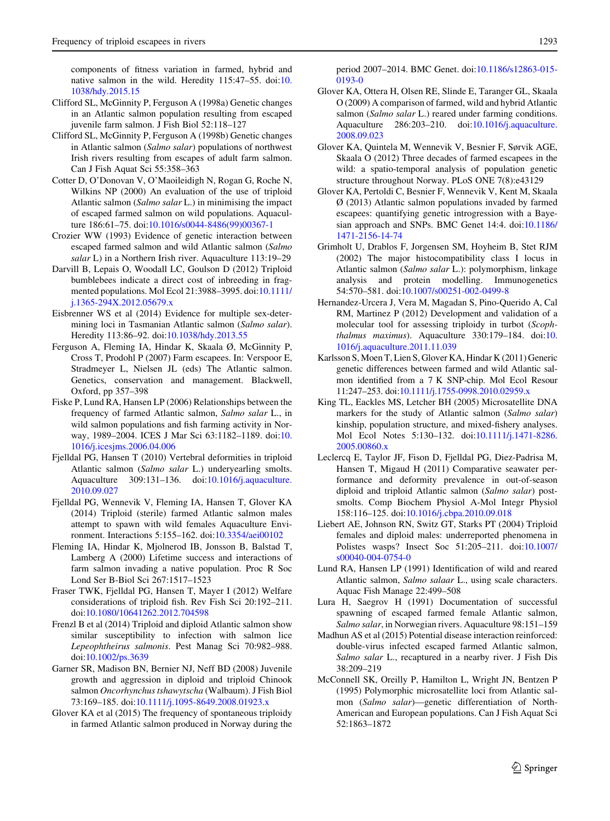<span id="page-6-0"></span>components of fitness variation in farmed, hybrid and native salmon in the wild. Heredity 115:47–55. doi:[10.](http://dx.doi.org/10.1038/hdy.2015.15) [1038/hdy.2015.15](http://dx.doi.org/10.1038/hdy.2015.15)

- Clifford SL, McGinnity P, Ferguson A (1998a) Genetic changes in an Atlantic salmon population resulting from escaped juvenile farm salmon. J Fish Biol 52:118–127
- Clifford SL, McGinnity P, Ferguson A (1998b) Genetic changes in Atlantic salmon (Salmo salar) populations of northwest Irish rivers resulting from escapes of adult farm salmon. Can J Fish Aquat Sci 55:358–363
- Cotter D, O'Donovan V, O'Maoileidigh N, Rogan G, Roche N, Wilkins NP (2000) An evaluation of the use of triploid Atlantic salmon (Salmo salar L.) in minimising the impact of escaped farmed salmon on wild populations. Aquaculture 186:61–75. doi[:10.1016/s0044-8486\(99\)00367-1](http://dx.doi.org/10.1016/s0044-8486(99)00367-1)
- Crozier WW (1993) Evidence of genetic interaction between escaped farmed salmon and wild Atlantic salmon (Salmo salar L) in a Northern Irish river. Aquaculture 113:19-29
- Darvill B, Lepais O, Woodall LC, Goulson D (2012) Triploid bumblebees indicate a direct cost of inbreeding in fragmented populations. Mol Ecol 21:3988–3995. doi[:10.1111/](http://dx.doi.org/10.1111/j.1365-294X.2012.05679.x) [j.1365-294X.2012.05679.x](http://dx.doi.org/10.1111/j.1365-294X.2012.05679.x)
- Eisbrenner WS et al (2014) Evidence for multiple sex-determining loci in Tasmanian Atlantic salmon (Salmo salar). Heredity 113:86–92. doi:[10.1038/hdy.2013.55](http://dx.doi.org/10.1038/hdy.2013.55)
- Ferguson A, Fleming IA, Hindar K, Skaala Ø, McGinnity P, Cross T, Prodohl P (2007) Farm escapees. In: Verspoor E, Stradmeyer L, Nielsen JL (eds) The Atlantic salmon. Genetics, conservation and management. Blackwell, Oxford, pp 357–398
- Fiske P, Lund RA, Hansen LP (2006) Relationships between the frequency of farmed Atlantic salmon, Salmo salar L., in wild salmon populations and fish farming activity in Norway, 1989–2004. ICES J Mar Sci 63:1182–1189. doi:[10.](http://dx.doi.org/10.1016/j.icesjms.2006.04.006) [1016/j.icesjms.2006.04.006](http://dx.doi.org/10.1016/j.icesjms.2006.04.006)
- Fjelldal PG, Hansen T (2010) Vertebral deformities in triploid Atlantic salmon (Salmo salar L.) underyearling smolts. Aquaculture 309:131–136. doi:[10.1016/j.aquaculture.](http://dx.doi.org/10.1016/j.aquaculture.2010.09.027) [2010.09.027](http://dx.doi.org/10.1016/j.aquaculture.2010.09.027)
- Fjelldal PG, Wennevik V, Fleming IA, Hansen T, Glover KA (2014) Triploid (sterile) farmed Atlantic salmon males attempt to spawn with wild females Aquaculture Environment. Interactions 5:155–162. doi[:10.3354/aei00102](http://dx.doi.org/10.3354/aei00102)
- Fleming IA, Hindar K, Mjolnerod IB, Jonsson B, Balstad T, Lamberg A (2000) Lifetime success and interactions of farm salmon invading a native population. Proc R Soc Lond Ser B-Biol Sci 267:1517–1523
- Fraser TWK, Fjelldal PG, Hansen T, Mayer I (2012) Welfare considerations of triploid fish. Rev Fish Sci 20:192–211. doi[:10.1080/10641262.2012.704598](http://dx.doi.org/10.1080/10641262.2012.704598)
- Frenzl B et al (2014) Triploid and diploid Atlantic salmon show similar susceptibility to infection with salmon lice Lepeophtheirus salmonis. Pest Manag Sci 70:982–988. doi[:10.1002/ps.3639](http://dx.doi.org/10.1002/ps.3639)
- Garner SR, Madison BN, Bernier NJ, Neff BD (2008) Juvenile growth and aggression in diploid and triploid Chinook salmon Oncorhynchus tshawytscha (Walbaum). J Fish Biol 73:169–185. doi:[10.1111/j.1095-8649.2008.01923.x](http://dx.doi.org/10.1111/j.1095-8649.2008.01923.x)
- Glover KA et al (2015) The frequency of spontaneous triploidy in farmed Atlantic salmon produced in Norway during the

period 2007–2014. BMC Genet. doi:[10.1186/s12863-015-](http://dx.doi.org/10.1186/s12863-015-0193-0) [0193-0](http://dx.doi.org/10.1186/s12863-015-0193-0)

- Glover KA, Ottera H, Olsen RE, Slinde E, Taranger GL, Skaala O (2009) A comparison of farmed, wild and hybrid Atlantic salmon (Salmo salar L.) reared under farming conditions. Aquaculture 286:203–210. doi[:10.1016/j.aquaculture.](http://dx.doi.org/10.1016/j.aquaculture.2008.09.023) [2008.09.023](http://dx.doi.org/10.1016/j.aquaculture.2008.09.023)
- Glover KA, Quintela M, Wennevik V, Besnier F, Sørvik AGE, Skaala O (2012) Three decades of farmed escapees in the wild: a spatio-temporal analysis of population genetic structure throughout Norway. PLoS ONE 7(8):e43129
- Glover KA, Pertoldi C, Besnier F, Wennevik V, Kent M, Skaala Ø (2013) Atlantic salmon populations invaded by farmed escapees: quantifying genetic introgression with a Bayesian approach and SNPs. BMC Genet 14:4. doi[:10.1186/](http://dx.doi.org/10.1186/1471-2156-14-74) [1471-2156-14-74](http://dx.doi.org/10.1186/1471-2156-14-74)
- Grimholt U, Drablos F, Jorgensen SM, Hoyheim B, Stet RJM (2002) The major histocompatibility class I locus in Atlantic salmon (Salmo salar L.): polymorphism, linkage analysis and protein modelling. Immunogenetics 54:570–581. doi[:10.1007/s00251-002-0499-8](http://dx.doi.org/10.1007/s00251-002-0499-8)
- Hernandez-Urcera J, Vera M, Magadan S, Pino-Querido A, Cal RM, Martinez P (2012) Development and validation of a molecular tool for assessing triploidy in turbot (Scophthalmus maximus). Aquaculture 330:179–184. doi:[10.](http://dx.doi.org/10.1016/j.aquaculture.2011.11.039) [1016/j.aquaculture.2011.11.039](http://dx.doi.org/10.1016/j.aquaculture.2011.11.039)
- Karlsson S, Moen T, Lien S, Glover KA, Hindar K (2011) Generic genetic differences between farmed and wild Atlantic salmon identified from a 7 K SNP-chip. Mol Ecol Resour 11:247–253. doi:[10.1111/j.1755-0998.2010.02959.x](http://dx.doi.org/10.1111/j.1755-0998.2010.02959.x)
- King TL, Eackles MS, Letcher BH (2005) Microsatellite DNA markers for the study of Atlantic salmon (Salmo salar) kinship, population structure, and mixed-fishery analyses. Mol Ecol Notes 5:130–132. doi[:10.1111/j.1471-8286.](http://dx.doi.org/10.1111/j.1471-8286.2005.00860.x) [2005.00860.x](http://dx.doi.org/10.1111/j.1471-8286.2005.00860.x)
- Leclercq E, Taylor JF, Fison D, Fjelldal PG, Diez-Padrisa M, Hansen T, Migaud H (2011) Comparative seawater performance and deformity prevalence in out-of-season diploid and triploid Atlantic salmon (Salmo salar) postsmolts. Comp Biochem Physiol A-Mol Integr Physiol 158:116–125. doi[:10.1016/j.cbpa.2010.09.018](http://dx.doi.org/10.1016/j.cbpa.2010.09.018)
- Liebert AE, Johnson RN, Switz GT, Starks PT (2004) Triploid females and diploid males: underreported phenomena in Polistes wasps? Insect Soc 51:205–211. doi[:10.1007/](http://dx.doi.org/10.1007/s00040-004-0754-0) [s00040-004-0754-0](http://dx.doi.org/10.1007/s00040-004-0754-0)
- Lund RA, Hansen LP (1991) Identification of wild and reared Atlantic salmon, Salmo salaar L., using scale characters. Aquac Fish Manage 22:499–508
- Lura H, Saegrov H (1991) Documentation of successful spawning of escaped farmed female Atlantic salmon, Salmo salar, in Norwegian rivers. Aquaculture 98:151–159
- Madhun AS et al (2015) Potential disease interaction reinforced: double-virus infected escaped farmed Atlantic salmon, Salmo salar L., recaptured in a nearby river. J Fish Dis 38:209–219
- McConnell SK, Oreilly P, Hamilton L, Wright JN, Bentzen P (1995) Polymorphic microsatellite loci from Atlantic salmon (Salmo salar)—genetic differentiation of North-American and European populations. Can J Fish Aquat Sci 52:1863–1872